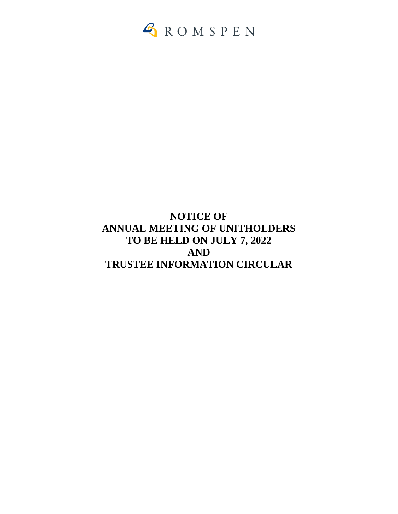

# **NOTICE OF ANNUAL MEETING OF UNITHOLDERS TO BE HELD ON JULY 7, 2022 AND TRUSTEE INFORMATION CIRCULAR**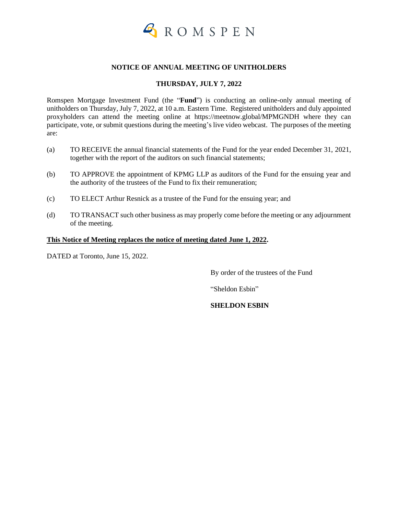

#### **NOTICE OF ANNUAL MEETING OF UNITHOLDERS**

### **THURSDAY, JULY 7, 2022**

Romspen Mortgage Investment Fund (the "**Fund**") is conducting an online-only annual meeting of unitholders on Thursday, July 7, 2022, at 10 a.m. Eastern Time. Registered unitholders and duly appointed proxyholders can attend the meeting online at https://meetnow.global/MPMGNDH where they can participate, vote, or submit questions during the meeting's live video webcast. The purposes of the meeting are:

- (a) TO RECEIVE the annual financial statements of the Fund for the year ended December 31, 2021, together with the report of the auditors on such financial statements;
- (b) TO APPROVE the appointment of KPMG LLP as auditors of the Fund for the ensuing year and the authority of the trustees of the Fund to fix their remuneration;
- (c) TO ELECT Arthur Resnick as a trustee of the Fund for the ensuing year; and
- (d) TO TRANSACT such other business as may properly come before the meeting or any adjournment of the meeting.

#### **This Notice of Meeting replaces the notice of meeting dated June 1, 2022.**

DATED at Toronto, June 15, 2022.

By order of the trustees of the Fund

"Sheldon Esbin"

#### **SHELDON ESBIN**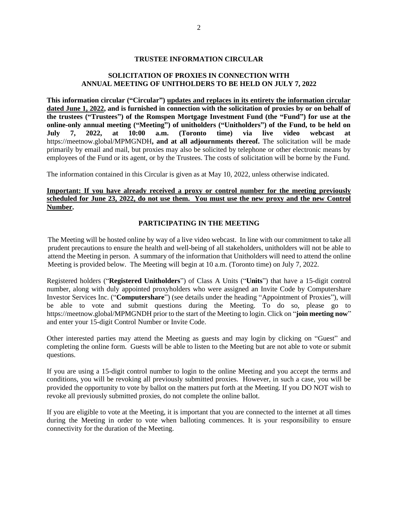#### **TRUSTEE INFORMATION CIRCULAR**

### **SOLICITATION OF PROXIES IN CONNECTION WITH ANNUAL MEETING OF UNITHOLDERS TO BE HELD ON JULY 7, 2022**

**This information circular ("Circular") updates and replaces in its entirety the information circular dated June 1, 2022, and is furnished in connection with the solicitation of proxies by or on behalf of the trustees ("Trustees") of the Romspen Mortgage Investment Fund (the "Fund") for use at the online-only annual meeting ("Meeting") of unitholders ("Unitholders") of the Fund, to be held on July 7, 2022, at 10:00 a.m. (Toronto time) via live video webcast at**  https://meetnow.global/MPMGNDH**, and at all adjournments thereof.** The solicitation will be made primarily by email and mail, but proxies may also be solicited by telephone or other electronic means by employees of the Fund or its agent, or by the Trustees. The costs of solicitation will be borne by the Fund.

The information contained in this Circular is given as at May 10, 2022, unless otherwise indicated.

#### **Important: If you have already received a proxy or control number for the meeting previously scheduled for June 23, 2022, do not use them. You must use the new proxy and the new Control Number.**

#### **PARTICIPATING IN THE MEETING**

The Meeting will be hosted online by way of a live video webcast. In line with our commitment to take all prudent precautions to ensure the health and well-being of all stakeholders, unitholders will not be able to attend the Meeting in person. A summary of the information that Unitholders will need to attend the online Meeting is provided below. The Meeting will begin at 10 a.m. (Toronto time) on July 7, 2022.

Registered holders ("**Registered Unitholders**") of Class A Units ("**Units**") that have a 15-digit control number, along with duly appointed proxyholders who were assigned an Invite Code by Computershare Investor Services Inc. ("**Computershare**") (see details under the heading "Appointment of Proxies"), will be able to vote and submit questions during the Meeting. To do so, please go to https://meetnow.global/MPMGNDH prior to the start of the Meeting to login. Click on "**join meeting now**" and enter your 15-digit Control Number or Invite Code.

Other interested parties may attend the Meeting as guests and may login by clicking on "Guest" and completing the online form. Guests will be able to listen to the Meeting but are not able to vote or submit questions.

If you are using a 15-digit control number to login to the online Meeting and you accept the terms and conditions, you will be revoking all previously submitted proxies. However, in such a case, you will be provided the opportunity to vote by ballot on the matters put forth at the Meeting. If you DO NOT wish to revoke all previously submitted proxies, do not complete the online ballot.

If you are eligible to vote at the Meeting, it is important that you are connected to the internet at all times during the Meeting in order to vote when balloting commences. It is your responsibility to ensure connectivity for the duration of the Meeting.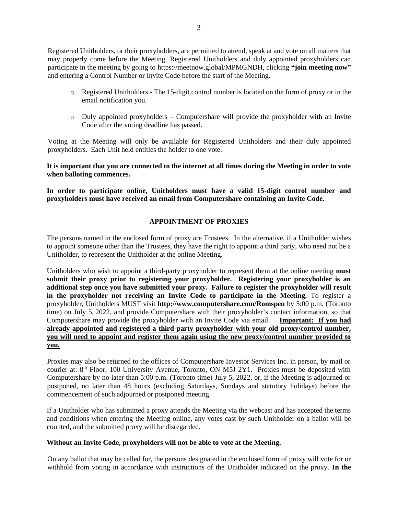Registered Unitholders, or their proxyholders, are permitted to attend, speak at and vote on all matters that may properly come before the Meeting. Registered Unitholders and duly appointed proxyholders can participate in the meeting by going to https://meetnow.global/MPMGNDH, clicking **"join meeting now"** and entering a Control Number or Invite Code before the start of the Meeting.

- o Registered Unitholders The 15-digit control number is located on the form of proxy or in the email notification you.
- $\circ$  Duly appointed proxyholders Computershare will provide the proxyholder with an Invite Code after the voting deadline has passed.

Voting at the Meeting will only be available for Registered Unitholders and their duly appointed proxyholders. Each Unit held entitles the holder to one vote.

**It is important that you are connected to the internet at all times during the Meeting in order to vote when balloting commences.**

**In order to participate online, Unitholders must have a valid 15-digit control number and proxyholders must have received an email from Computershare containing an Invite Code.** 

## **APPOINTMENT OF PROXIES**

The persons named in the enclosed form of proxy are Trustees. In the alternative, if a Unitholder wishes to appoint someone other than the Trustees, they have the right to appoint a third party, who need not be a Unitholder, to represent the Unitholder at the online Meeting.

Unitholders who wish to appoint a third-party proxyholder to represent them at the online meeting **must submit their proxy prior to registering your proxyholder. Registering your proxyholder is an additional step once you have submitted your proxy. Failure to register the proxyholder will result in the proxyholder not receiving an Invite Code to participate in the Meeting.** To register a proxyholder, Unitholders MUST visit **http://www.computershare.com/Romspen** by 5:00 p.m. (Toronto time) on July 5, 2022, and provide Computershare with their proxyholder's contact information, so that Computershare may provide the proxyholder with an Invite Code via email. **Important: If you had already appointed and registered a third-party proxyholder with your old proxy/control number, you will need to appoint and register them again using the new proxy/control number provided to you.**

Proxies may also be returned to the offices of Computershare Investor Services Inc. in person, by mail or courier at:  $8<sup>th</sup>$  Floor, 100 University Avenue, Toronto, ON M5J 2Y1. Proxies must be deposited with Computershare by no later than 5:00 p.m. (Toronto time) July 5, 2022, or, if the Meeting is adjourned or postponed, no later than 48 hours (excluding Saturdays, Sundays and statutory holidays) before the commencement of such adjourned or postponed meeting.

If a Unitholder who has submitted a proxy attends the Meeting via the webcast and has accepted the terms and conditions when entering the Meeting online, any votes cast by such Unitholder on a ballot will be counted, and the submitted proxy will be disregarded.

#### **Without an Invite Code, proxyholders will not be able to vote at the Meeting.**

On any ballot that may be called for, the persons designated in the enclosed form of proxy will vote for or withhold from voting in accordance with instructions of the Unitholder indicated on the proxy. **In the**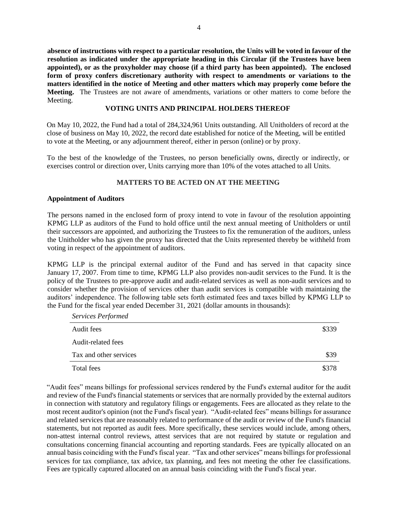**absence of instructions with respect to a particular resolution, the Units will be voted in favour of the resolution as indicated under the appropriate heading in this Circular (if the Trustees have been appointed), or as the proxyholder may choose (if a third party has been appointed). The enclosed form of proxy confers discretionary authority with respect to amendments or variations to the matters identified in the notice of Meeting and other matters which may properly come before the Meeting.** The Trustees are not aware of amendments, variations or other matters to come before the Meeting.

#### **VOTING UNITS AND PRINCIPAL HOLDERS THEREOF**

On May 10, 2022, the Fund had a total of 284,324,961 Units outstanding. All Unitholders of record at the close of business on May 10, 2022, the record date established for notice of the Meeting, will be entitled to vote at the Meeting, or any adjournment thereof, either in person (online) or by proxy.

To the best of the knowledge of the Trustees, no person beneficially owns, directly or indirectly, or exercises control or direction over, Units carrying more than 10% of the votes attached to all Units.

## **MATTERS TO BE ACTED ON AT THE MEETING**

#### **Appointment of Auditors**

*Services Performed*

The persons named in the enclosed form of proxy intend to vote in favour of the resolution appointing KPMG LLP as auditors of the Fund to hold office until the next annual meeting of Unitholders or until their successors are appointed, and authorizing the Trustees to fix the remuneration of the auditors, unless the Unitholder who has given the proxy has directed that the Units represented thereby be withheld from voting in respect of the appointment of auditors.

KPMG LLP is the principal external auditor of the Fund and has served in that capacity since January 17, 2007. From time to time, KPMG LLP also provides non-audit services to the Fund. It is the policy of the Trustees to pre-approve audit and audit-related services as well as non-audit services and to consider whether the provision of services other than audit services is compatible with maintaining the auditors' independence. The following table sets forth estimated fees and taxes billed by KPMG LLP to the Fund for the fiscal year ended December 31, 2021 (dollar amounts in thousands):

| 50.700011077           |       |
|------------------------|-------|
| Audit fees             | \$339 |
| Audit-related fees     |       |
| Tax and other services | \$39  |
| Total fees             |       |

"Audit fees" means billings for professional services rendered by the Fund's external auditor for the audit and review of the Fund's financial statements or services that are normally provided by the external auditors in connection with statutory and regulatory filings or engagements. Fees are allocated as they relate to the most recent auditor's opinion (not the Fund's fiscal year). "Audit-related fees" means billings for assurance and related services that are reasonably related to performance of the audit or review of the Fund's financial statements, but not reported as audit fees. More specifically, these services would include, among others, non-attest internal control reviews, attest services that are not required by statute or regulation and consultations concerning financial accounting and reporting standards. Fees are typically allocated on an annual basis coinciding with the Fund's fiscal year. "Tax and other services" means billings for professional services for tax compliance, tax advice, tax planning, and fees not meeting the other fee classifications. Fees are typically captured allocated on an annual basis coinciding with the Fund's fiscal year.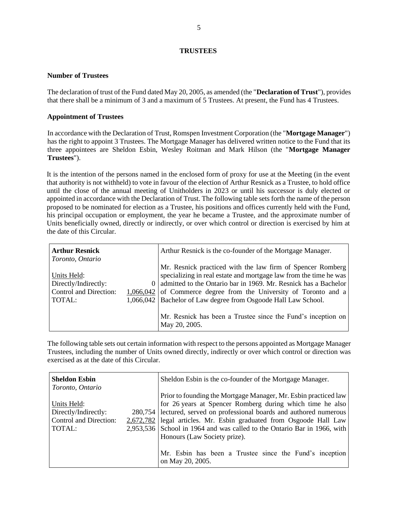#### **TRUSTEES**

#### **Number of Trustees**

The declaration of trust of the Fund dated May 20, 2005, as amended (the "**Declaration of Trust**"), provides that there shall be a minimum of 3 and a maximum of 5 Trustees. At present, the Fund has 4 Trustees.

#### **Appointment of Trustees**

In accordance with the Declaration of Trust, Romspen Investment Corporation (the "**Mortgage Manager**") has the right to appoint 3 Trustees. The Mortgage Manager has delivered written notice to the Fund that its three appointees are Sheldon Esbin, Wesley Roitman and Mark Hilson (the "**Mortgage Manager Trustees**").

It is the intention of the persons named in the enclosed form of proxy for use at the Meeting (in the event that authority is not withheld) to vote in favour of the election of Arthur Resnick as a Trustee, to hold office until the close of the annual meeting of Unitholders in 2023 or until his successor is duly elected or appointed in accordance with the Declaration of Trust. The following table sets forth the name of the person proposed to be nominated for election as a Trustee, his positions and offices currently held with the Fund, his principal occupation or employment, the year he became a Trustee, and the approximate number of Units beneficially owned, directly or indirectly, or over which control or direction is exercised by him at the date of this Circular.

| <b>Arthur Resnick</b>  |          | Arthur Resnick is the co-founder of the Mortgage Manager.           |
|------------------------|----------|---------------------------------------------------------------------|
| Toronto, Ontario       |          |                                                                     |
|                        |          | Mr. Resnick practiced with the law firm of Spencer Romberg          |
| Units Held:            |          | specializing in real estate and mortgage law from the time he was   |
| Directly/Indirectly:   | $\theta$ | admitted to the Ontario bar in 1969. Mr. Resnick has a Bachelor     |
| Control and Direction: |          | $1,066,042$ of Commerce degree from the University of Toronto and a |
| TOTAL:                 |          | 1,066,042   Bachelor of Law degree from Osgoode Hall Law School.    |
|                        |          |                                                                     |
|                        |          | Mr. Resnick has been a Trustee since the Fund's inception on        |
|                        |          | May 20, 2005.                                                       |

The following table sets out certain information with respect to the persons appointed as Mortgage Manager Trustees, including the number of Units owned directly, indirectly or over which control or direction was exercised as at the date of this Circular.

| <b>Sheldon Esbin</b><br>Toronto, Ontario                                | Sheldon Esbin is the co-founder of the Mortgage Manager.                                                                                                                                                                                                                                                                                                                                                                                                                |
|-------------------------------------------------------------------------|-------------------------------------------------------------------------------------------------------------------------------------------------------------------------------------------------------------------------------------------------------------------------------------------------------------------------------------------------------------------------------------------------------------------------------------------------------------------------|
| Units Held:<br>Directly/Indirectly:<br>Control and Direction:<br>TOTAL: | Prior to founding the Mortgage Manager, Mr. Esbin practiced law<br>for 26 years at Spencer Romberg during which time he also<br>280,754 lectured, served on professional boards and authored numerous<br>2,672,782 legal articles. Mr. Esbin graduated from Osgoode Hall Law<br>2,953,536 School in 1964 and was called to the Ontario Bar in 1966, with<br>Honours (Law Society prize).<br>Mr. Esbin has been a Trustee since the Fund's inception<br>on May 20, 2005. |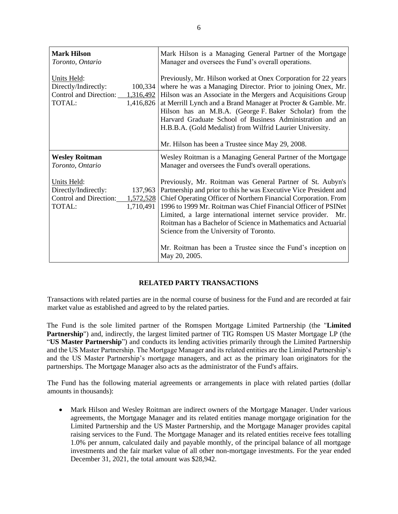| <b>Mark Hilson</b><br>Toronto, Ontario                                                                    | Mark Hilson is a Managing General Partner of the Mortgage<br>Manager and oversees the Fund's overall operations.                                                                                                                                                                                                                                                                                                                                      |
|-----------------------------------------------------------------------------------------------------------|-------------------------------------------------------------------------------------------------------------------------------------------------------------------------------------------------------------------------------------------------------------------------------------------------------------------------------------------------------------------------------------------------------------------------------------------------------|
| Units Held:<br>Directly/Indirectly:<br>100,334<br>Control and Direction: 1,316,492<br>TOTAL:<br>1,416,826 | Previously, Mr. Hilson worked at Onex Corporation for 22 years<br>where he was a Managing Director. Prior to joining Onex, Mr.<br>Hilson was an Associate in the Mergers and Acquisitions Group<br>at Merrill Lynch and a Brand Manager at Procter & Gamble. Mr.<br>Hilson has an M.B.A. (George F. Baker Scholar) from the<br>Harvard Graduate School of Business Administration and an<br>H.B.B.A. (Gold Medalist) from Wilfrid Laurier University. |
|                                                                                                           | Mr. Hilson has been a Trustee since May 29, 2008.                                                                                                                                                                                                                                                                                                                                                                                                     |
| <b>Wesley Roitman</b><br>Toronto, Ontario                                                                 | Wesley Roitman is a Managing General Partner of the Mortgage<br>Manager and oversees the Fund's overall operations.                                                                                                                                                                                                                                                                                                                                   |
| Units Held:<br>Directly/Indirectly:<br>137,963<br>Control and Direction: 1,572,528<br>TOTAL:<br>1,710,491 | Previously, Mr. Roitman was General Partner of St. Aubyn's<br>Partnership and prior to this he was Executive Vice President and<br>Chief Operating Officer of Northern Financial Corporation. From<br>1996 to 1999 Mr. Roitman was Chief Financial Officer of PSINet<br>Limited, a large international internet service provider. Mr.<br>Roitman has a Bachelor of Science in Mathematics and Actuarial<br>Science from the University of Toronto.    |
|                                                                                                           | Mr. Roitman has been a Trustee since the Fund's inception on<br>May 20, 2005.                                                                                                                                                                                                                                                                                                                                                                         |

#### **RELATED PARTY TRANSACTIONS**

Transactions with related parties are in the normal course of business for the Fund and are recorded at fair market value as established and agreed to by the related parties.

The Fund is the sole limited partner of the Romspen Mortgage Limited Partnership (the "**Limited Partnership**") and, indirectly, the largest limited partner of TIG Romspen US Master Mortgage LP (the "**US Master Partnership**") and conducts its lending activities primarily through the Limited Partnership and the US Master Partnership. The Mortgage Manager and its related entities are the Limited Partnership's and the US Master Partnership's mortgage managers, and act as the primary loan originators for the partnerships. The Mortgage Manager also acts as the administrator of the Fund's affairs.

The Fund has the following material agreements or arrangements in place with related parties (dollar amounts in thousands):

• Mark Hilson and Wesley Roitman are indirect owners of the Mortgage Manager. Under various agreements, the Mortgage Manager and its related entities manage mortgage origination for the Limited Partnership and the US Master Partnership, and the Mortgage Manager provides capital raising services to the Fund. The Mortgage Manager and its related entities receive fees totalling 1.0% per annum, calculated daily and payable monthly, of the principal balance of all mortgage investments and the fair market value of all other non-mortgage investments. For the year ended December 31, 2021, the total amount was \$28,942.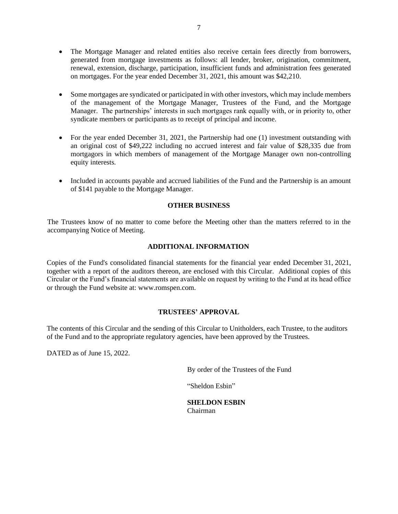- The Mortgage Manager and related entities also receive certain fees directly from borrowers, generated from mortgage investments as follows: all lender, broker, origination, commitment, renewal, extension, discharge, participation, insufficient funds and administration fees generated on mortgages. For the year ended December 31, 2021, this amount was \$42,210.
- Some mortgages are syndicated or participated in with other investors, which may include members of the management of the Mortgage Manager, Trustees of the Fund, and the Mortgage Manager. The partnerships' interests in such mortgages rank equally with, or in priority to, other syndicate members or participants as to receipt of principal and income.
- For the year ended December 31, 2021, the Partnership had one (1) investment outstanding with an original cost of \$49,222 including no accrued interest and fair value of \$28,335 due from mortgagors in which members of management of the Mortgage Manager own non-controlling equity interests.
- Included in accounts payable and accrued liabilities of the Fund and the Partnership is an amount of \$141 payable to the Mortgage Manager.

#### **OTHER BUSINESS**

The Trustees know of no matter to come before the Meeting other than the matters referred to in the accompanying Notice of Meeting.

## **ADDITIONAL INFORMATION**

Copies of the Fund's consolidated financial statements for the financial year ended December 31, 2021, together with a report of the auditors thereon, are enclosed with this Circular. Additional copies of this Circular or the Fund's financial statements are available on request by writing to the Fund at its head office or through the Fund website at: www.romspen.com.

## **TRUSTEES' APPROVAL**

The contents of this Circular and the sending of this Circular to Unitholders, each Trustee, to the auditors of the Fund and to the appropriate regulatory agencies, have been approved by the Trustees.

DATED as of June 15, 2022.

By order of the Trustees of the Fund

"Sheldon Esbin"

**SHELDON ESBIN** Chairman